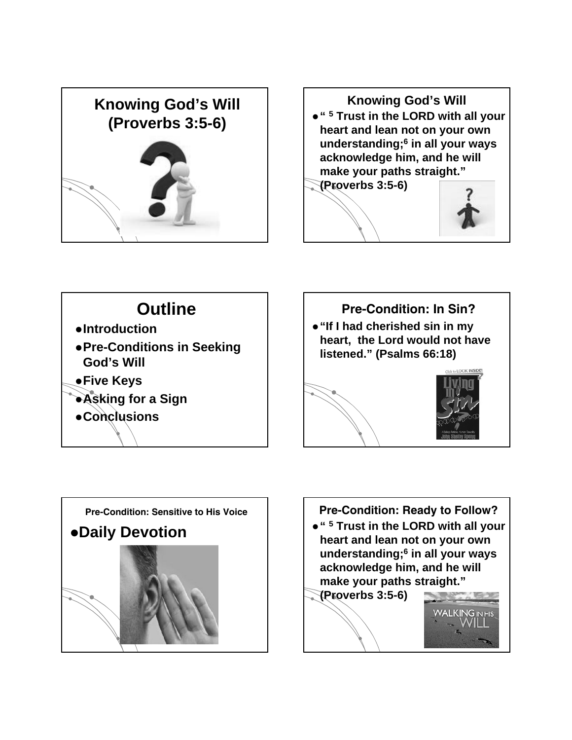









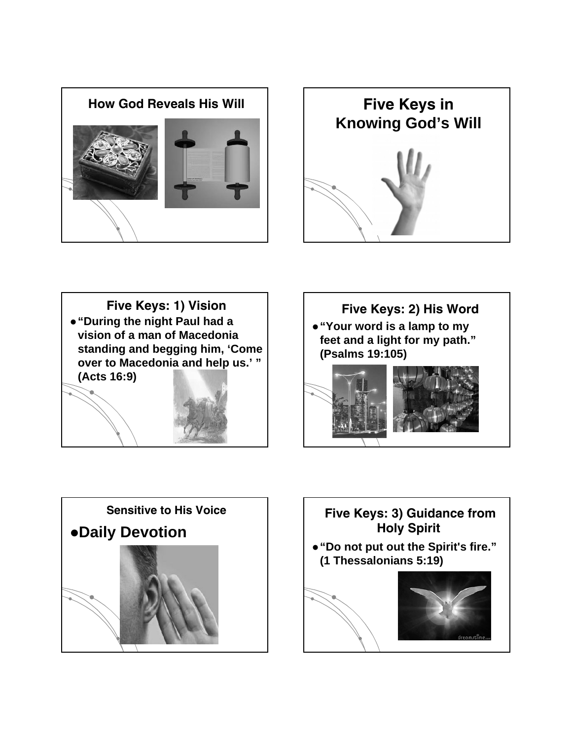









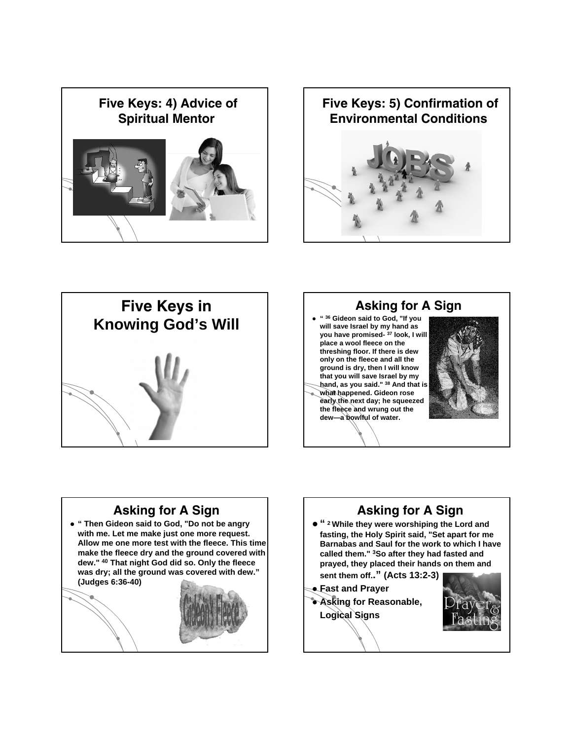









## Asking for A Sign

**<sup>o "</sup>** <sup>2</sup> While they were worshiping the Lord and **fasting, the Holy Spirit said, "Set apart for me Barnabas and Saul for the work to which I have called them." 3So after they had fasted and prayed, they placed their hands on them and** 

**sent them off.." (Acts 13:2-3)**

- **East and Prayer**
- **Asking for Reasonable, Logical Signs**